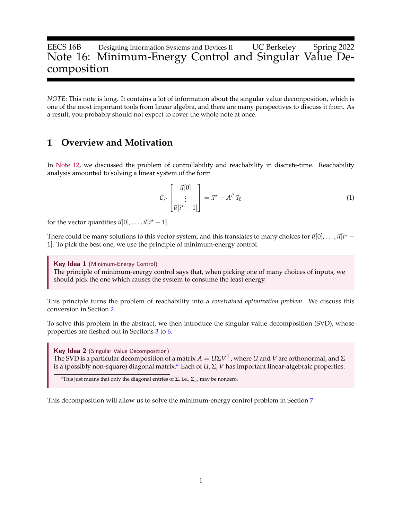# EECS 16B Designing Information Systems and Devices II UC Berkeley Spring 2022 Note 16: Minimum-Energy Control and Singular Value Decomposition

*NOTE*: This note is long. It contains a lot of information about the singular value decomposition, which is one of the most important tools from linear algebra, and there are many perspectives to discuss it from. As a result, you probably should not expect to cover the whole note at once.

### **1 Overview and Motivation**

In [Note 12,](https://www.eecs16b.org/notes/sp22/note12.pdf) we discussed the problem of controllability and reachability in discrete-time. Reachability analysis amounted to solving a linear system of the form

$$
\mathcal{C}_{i^*} \begin{bmatrix} \vec{u}[0] \\ \vdots \\ \vec{u}[i^*-1] \end{bmatrix} = \vec{x}^* - A^{i^*}\vec{x}_0 \tag{1}
$$

for the vector quantities  $\vec{u}[0], \ldots, \vec{u}[i^* - 1].$ 

There could be many solutions to this vector system, and this translates to many choices for  $\vec{u}[0], \ldots, \vec{u}[i^*-\hat{i}]$ 1]. To pick the best one, we use the principle of minimum-energy control.

Key Idea 1 (Minimum-Energy Control) The principle of minimum-energy control says that, when picking one of many choices of inputs, we should pick the one which causes the system to consume the least energy.

This principle turns the problem of reachability into a *constrained optimization problem*. We discuss this conversion in Section [2.](#page-1-0)

To solve this problem in the abstract, we then introduce the singular value decomposition (SVD), whose properties are fleshed out in Sections [3](#page-2-0) to [6.](#page-7-0)

Key Idea 2 (Singular Value Decomposition) The SVD is a particular decomposition of a matrix  $A = U \Sigma V^\top$  , where  $U$  and  $V$  are orthonormal, and  $\Sigma$ is a (possibly non-square) diagonal matrix.*[a](#page-0-0)* Each of *U*, Σ, *V* has important linear-algebraic properties.

<span id="page-0-0"></span>*<sup>a</sup>*This just means that only the diagonal entries of Σ, i.e., Σ*ii*, may be nonzero.

This decomposition will allow us to solve the minimum-energy control problem in Section [7.](#page-8-0)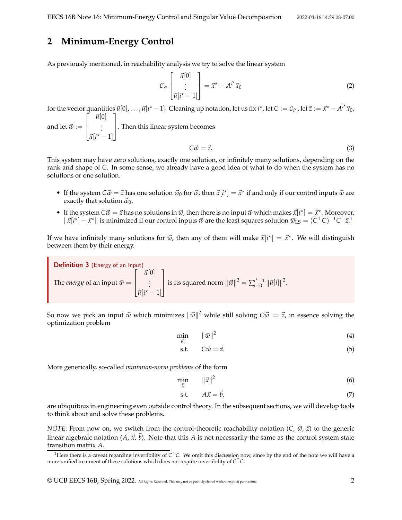# <span id="page-1-0"></span>**2 Minimum-Energy Control**

As previously mentioned, in reachability analysis we try to solve the linear system

$$
\mathcal{C}_{i^*} \begin{bmatrix} \vec{u}[0] \\ \vdots \\ \vec{u}[i^*-1] \end{bmatrix} = \vec{x}^* - A^{i^*}\vec{x}_0 \tag{2}
$$

for the vector quantities  $\vec{u}[0], \ldots, \vec{u}[i^\star-1]$ . Cleaning up notation, let us fix  $i^\star$ , let  $C := C_{i^\star}$ , let  $\vec{z} := \vec{x}^\star - A^{i^\star} \vec{x}_0$ , and let  $\vec{w} :=$  $\lceil$  $\Big\}$  $\vec{u}[0]$ . . .  $\vec{u}[i^* - 1]$ 1 . Then this linear system becomes

$$
C\vec{w} = \vec{z}.\tag{3}
$$

This system may have zero solutions, exactly one solution, or infinitely many solutions, depending on the rank and shape of *C*. In some sense, we already have a good idea of what to do when the system has no solutions or one solution.

- If the system  $C\vec{w} = \vec{z}$  has one solution  $\vec{w}_0$  for  $\vec{w}$ , then  $\vec{x}[i^*] = \vec{x}^*$  if and only if our control inputs  $\vec{w}$  are exactly that solution  $\vec{w}_0$ .
- If the system  $C\vec{w} = \vec{z}$  has no solutions in  $\vec{w}$ , then there is no input  $\vec{w}$  which makes  $\vec{x}[i^*] = \vec{x}^*$ . Moreover,  $\|\vec{x}[i^{\star}] - \vec{x}^{\star}\|$  is minimized if our control inputs  $\vec{w}$  are the least squares solution  $\vec{w}_{LS} = (C^{\top}C)^{-1}C^{\top}\vec{z}$  $\vec{w}_{LS} = (C^{\top}C)^{-1}C^{\top}\vec{z}$  $\vec{w}_{LS} = (C^{\top}C)^{-1}C^{\top}\vec{z}$ <sup>1</sup>

If we have infinitely many solutions for  $\vec{w}$ , then any of them will make  $\vec{x}[i^{\star}] = \vec{x}^{\star}$ . We will distinguish between them by their energy.

Definition 3 (Energy of an Input) The *energy* of an input  $\vec{w} =$  $\sqrt{ }$  $\Big\}$  $\vec{u}[0]$ . . .  $\vec{u}[i^* - 1]$ 1 | is its squared norm  $||\vec{w}||^2 = \sum_{i=0}^{i^* - 1} ||\vec{u}[i]||^2$ .

So now we pick an input  $\vec{w}$  which minimizes  $\|\vec{w}\|^2$  while still solving  $C\vec{w} = \vec{z}$ , in essence solving the optimization problem

$$
\min_{\vec{w}} \qquad \|\vec{w}\|^2 \tag{4}
$$

$$
s.t. \tC\vec{w} = \vec{z}.\t(5)
$$

More generically, so-called *minimum-norm problems* of the form

$$
\min_{\vec{x}} \qquad \|\vec{x}\|^2 \tag{6}
$$

$$
\text{s.t.} \qquad A\vec{x} = \vec{b}, \tag{7}
$$

are ubiquitous in engineering even outside control theory. In the subsequent sections, we will develop tools to think about and solve these problems.

*NOTE*: From now on, we switch from the control-theoretic reachability notation (*C*,  $\vec{w}$ ,  $\vec{z}$ ) to the generic linear algebraic notation  $(A, \vec{x}, \vec{b})$ . Note that this *A* is not necessarily the same as the control system state transition matrix *A*.

<span id="page-1-1"></span><sup>&</sup>lt;sup>1</sup>Here there is a caveat regarding invertibility of C<sup>⊤</sup>C. We omit this discussion now, since by the end of the note we will have a more unified treatment of these solutions which does not require invertibility of *C* <sup>⊤</sup>*C*.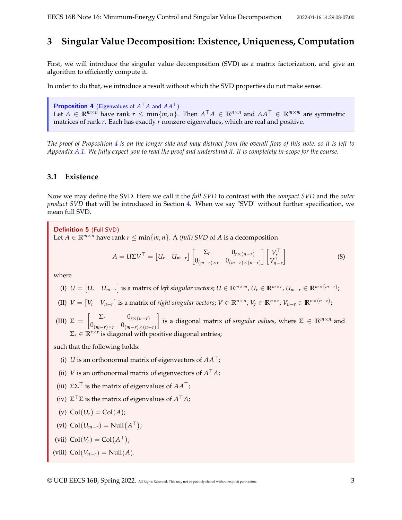# <span id="page-2-0"></span>**3 Singular Value Decomposition: Existence, Uniqueness, Computation**

First, we will introduce the singular value decomposition (SVD) as a matrix factorization, and give an algorithm to efficiently compute it.

In order to do that, we introduce a result without which the SVD properties do not make sense.

<span id="page-2-1"></span>**Proposition 4** (Eigenvalues of  $A^{\top}A$  and  $AA^{\top}$ ) Let  $A \in \mathbb{R}^{m \times n}$  have rank  $r \le \min\{m, n\}$ . Then  $A^{\top}A \in \mathbb{R}^{n \times n}$  and  $AA^{\top} \in \mathbb{R}^{m \times m}$  are symmetric matrices of rank *r*. Each has exactly *r* nonzero eigenvalues, which are real and positive.

*The proof of Proposition [4](#page-2-1) is on the longer side and may distract from the overall flow of this note, so it is left to Appendix [A.1.](#page-15-0) We fully expect you to read the proof and understand it. It is completely in-scope for the course.*

### **3.1 Existence**

Now we may define the SVD. Here we call it the *full SVD* to contrast with the *compact SVD* and the *outer product SVD* that will be introduced in Section [4.](#page-4-0) When we say "SVD" without further specification, we mean full SVD.

<span id="page-2-2"></span>Definition 5 (Full SVD) Let *A* ∈  $\mathbb{R}^{m \times n}$  have rank *r* ≤ min{*m*, *n*}. A (*full*) *SVD* of *A* is a decomposition

<span id="page-2-3"></span>
$$
A = U\Sigma V^{\top} = \begin{bmatrix} U_r & U_{m-r} \end{bmatrix} \begin{bmatrix} \Sigma_r & 0_{r \times (n-r)} \\ 0_{(m-r) \times r} & 0_{(m-r) \times (n-r)} \end{bmatrix} \begin{bmatrix} V_r^{\top} \\ V_{n-r}^{\top} \end{bmatrix}
$$
(8)

where

- (I)  $U = \begin{bmatrix} U_r & U_{m-r} \end{bmatrix}$  is a matrix of left singular vectors;  $U \in \mathbb{R}^{m \times m}$ ,  $U_r \in \mathbb{R}^{m \times r}$ ,  $U_{m-r} \in \mathbb{R}^{m \times (m-r)}$ ;
- (II)  $V = \begin{bmatrix} V_r & V_{n-r} \end{bmatrix}$  is a matrix of right singular vectors;  $V \in \mathbb{R}^{n \times n}$ ,  $V_r \in \mathbb{R}^{n \times r}$ ,  $V_{n-r} \in \mathbb{R}^{n \times (n-r)}$ ;

(III)  $\Sigma = \begin{bmatrix} \Sigma_r & 0_{r \times (n-r)} \ 0 & 0 & 0 \end{bmatrix}$  $0_{(m-r)\times r}$   $0_{(m-r)\times(n-r)}$  $\left[$  is a diagonal matrix of *singular values*, where  $\Sigma \in \mathbb{R}^{m \times n}$  and  $\Sigma_r \in \mathbb{R}^{r \times r}$  is diagonal with positive diagonal entries;

such that the following holds:

- (i) *U* is an orthonormal matrix of eigenvectors of *AA*⊤;
- (ii) *V* is an orthonormal matrix of eigenvectors of  $A^{\top}A$ ;
- (iii)  $\Sigma\Sigma^{\top}$  is the matrix of eigenvalues of  $AA^{\top}$ ;
- (iv) Σ <sup>⊤</sup>Σ is the matrix of eigenvalues of *A* <sup>⊤</sup>*A*;

$$
(v) Col(U_r) = Col(A);
$$

$$
(vi) Col(U_{m-r}) = Null(A^{\top});
$$

- (vii)  $\text{Col}(V_r) = \text{Col}(A^{\top});$
- (viii)  $Col(V_{n-r}) = Null(A).$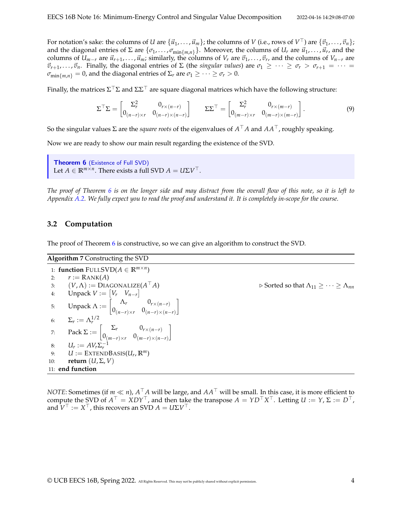For notation's sake: the columns of *U* are  $\{\vec{u}_1,\ldots,\vec{u}_m\}$ ; the columns of *V* (i.e., rows of  $V^\top$ ) are  $\{\vec{v}_1,\ldots,\vec{v}_n\}$ ; and the diagonal entries of  $\Sigma$  are  $\{\sigma_1,\ldots,\sigma_{\min\{m,n\}}\}$ . Moreover, the columns of  $U_r$  are  $\vec{u}_1,\ldots,\vec{u}_r$ , and the columns of  $U_{m-r}$  are  $\vec{u}_{r+1}, \ldots, \vec{u}_m$ ; similarly, the columns of  $V_r$  are  $\vec{v}_1, \ldots, \vec{v}_r$ , and the columns of  $V_{n-r}$  are  $\vec{v}_{r+1}, \ldots, \vec{v}_n$ . Finally, the diagonal entries of  $\Sigma$  (the *singular values*) are  $\sigma_1 \geq \cdots \geq \sigma_r > \sigma_{r+1} = \cdots =$  $\sigma_{\min\{m,n\}} = 0$ , and the diagonal entries of  $\Sigma_r$  are  $\sigma_1 \geq \cdots \geq \sigma_r > 0$ .

Finally, the matrices  $\Sigma^\top \Sigma$  and  $\Sigma \Sigma^\top$  are square diagonal matrices which have the following structure:

$$
\Sigma^{\top} \Sigma = \begin{bmatrix} \Sigma_r^2 & 0_{r \times (n-r)} \\ 0_{(n-r) \times r} & 0_{(n-r) \times (n-r)} \end{bmatrix} \qquad \Sigma \Sigma^{\top} = \begin{bmatrix} \Sigma_r^2 & 0_{r \times (m-r)} \\ 0_{(m-r) \times r} & 0_{(m-r) \times (m-r)} \end{bmatrix}.
$$
 (9)

So the singular values Σ are the *square roots* of the eigenvalues of *A* <sup>⊤</sup>*A* and *AA*⊤, roughly speaking.

Now we are ready to show our main result regarding the existence of the SVD.

```
Theorem 6 (Existence of Full SVD)
Let A \in \mathbb{R}^{m \times n}. There exists a full SVD A = U\Sigma V^{\top}.
```
*The proof of Theorem [6](#page-3-0) is on the longer side and may distract from the overall flow of this note, so it is left to Appendix [A.2.](#page-15-1) We fully expect you to read the proof and understand it. It is completely in-scope for the course.*

#### **3.2 Computation**

The proof of Theorem [6](#page-3-0) is constructive, so we can give an algorithm to construct the SVD.

| <b>Algorithm 7 Constructing the SVD</b>                                                                                                                                                                                                                                                                                                    |                                                                              |
|--------------------------------------------------------------------------------------------------------------------------------------------------------------------------------------------------------------------------------------------------------------------------------------------------------------------------------------------|------------------------------------------------------------------------------|
| 1: function FULLSVD( $A \in \mathbb{R}^{m \times n}$ )                                                                                                                                                                                                                                                                                     |                                                                              |
| $r := \text{RANK}(A)$<br>2:                                                                                                                                                                                                                                                                                                                |                                                                              |
| 3: $(V, \Lambda) := \text{DIAGONALIZE}(A^{\top} A)$                                                                                                                                                                                                                                                                                        | $\triangleright$ Sorted so that $\Lambda_{11} \geq \cdots \geq \Lambda_{nn}$ |
| Unpack $V := [V_r \quad V_{n-r}]$<br>4:                                                                                                                                                                                                                                                                                                    |                                                                              |
| 5: Unpack $\Lambda := \begin{bmatrix} \Lambda_r & 0_{r \times (n-r)} \\ 0_{(n-r) \times r} & 0_{(n-r) \times (n-r)} \end{bmatrix}$<br>6: $\Sigma_r := \Lambda_r^{1/2}$<br>7: Pack $\Sigma := \begin{bmatrix} \Sigma_r & 0_{r \times (n-r)} \\ 0_{(m-r) \times r} & 0_{(m-r) \times (n-r)} \end{bmatrix}$<br>8: $U_r := AV_r \Sigma_r^{-1}$ |                                                                              |
|                                                                                                                                                                                                                                                                                                                                            |                                                                              |
|                                                                                                                                                                                                                                                                                                                                            |                                                                              |
|                                                                                                                                                                                                                                                                                                                                            |                                                                              |
| $U :=$ EXTENDBASIS( $U_r$ , $\mathbb{R}^m$ )<br>9:                                                                                                                                                                                                                                                                                         |                                                                              |
| return $(U, \Sigma, V)$<br>10:                                                                                                                                                                                                                                                                                                             |                                                                              |
| 11: end function                                                                                                                                                                                                                                                                                                                           |                                                                              |

*NOTE*: Sometimes (if *m* ≪ *n*), *A* <sup>⊤</sup>*A* will be large, and *AA*<sup>⊤</sup> will be small. In this case, it is more efficient to compute the SVD of  $A^{\top} = XDY^{\top}$ , and then take the transpose  $A = YD^{\top}X^{\top}$ . Letting  $U := Y$ ,  $\Sigma := D^{\top}$ , and  $\mathbf{\tilde{V}}^{\top} := X^{\top}$ , this recovers an SVD  $A = U\Sigma V^{\top}$ .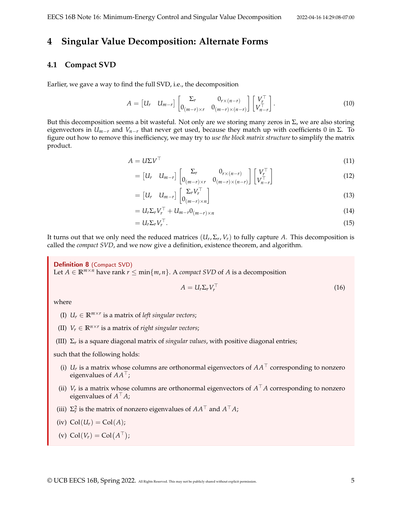### <span id="page-4-0"></span>**4 Singular Value Decomposition: Alternate Forms**

### **4.1 Compact SVD**

Earlier, we gave a way to find the full SVD, i.e., the decomposition

$$
A = \begin{bmatrix} U_r & U_{m-r} \end{bmatrix} \begin{bmatrix} \Sigma_r & 0_{r \times (n-r)} \\ 0_{(m-r) \times r} & 0_{(m-r) \times (n-r)} \end{bmatrix} \begin{bmatrix} V_r^\top \\ V_{n-r}^\top \end{bmatrix} . \tag{10}
$$

But this decomposition seems a bit wasteful. Not only are we storing many zeros in  $\Sigma$ , we are also storing eigenvectors in  $U_{m-r}$  and  $V_{n-r}$  that never get used, because they match up with coefficients 0 in  $\Sigma$ . To figure out how to remove this inefficiency, we may try to *use the block matrix structure* to simplify the matrix product.

$$
A = U\Sigma V^{\top}
$$
\n<sup>(11)</sup>

$$
= \begin{bmatrix} U_r & U_{m-r} \end{bmatrix} \begin{bmatrix} \Sigma_r & 0_{r \times (n-r)} \\ 0_{(m-r) \times r} & 0_{(m-r) \times (n-r)} \end{bmatrix} \begin{bmatrix} V_r^\top \\ V_{n-r}^\top \end{bmatrix}
$$
(12)

$$
= [U_r \quad U_{m-r}] \begin{bmatrix} \Sigma_r V_r^{\top} \\ 0_{(m-r)\times n} \end{bmatrix}
$$
 (13)

$$
= U_r \Sigma_r V_r^\top + U_{m-r} 0_{(m-r)\times n} \tag{14}
$$

$$
=U_r\Sigma_rV_r^{\top}.
$$
\n<sup>(15)</sup>

It turns out that we only need the reduced matrices (*U<sup>r</sup>* , Σ*<sup>r</sup>* , *Vr*) to fully capture *A*. This decomposition is called the *compact SVD*, and we now give a definition, existence theorem, and algorithm.

Definition 8 (Compact SVD) Let  $A \in \mathbb{R}^{m \times n}$  have rank  $r \leq \min\{m, n\}$ . A *compact SVD* of A is a decomposition

$$
A = U_r \Sigma_r V_r^\top \tag{16}
$$

where

- (I)  $U_r \in \mathbb{R}^{m \times r}$  is a matrix of *left singular vectors*;
- (II)  $V_r \in \mathbb{R}^{n \times r}$  is a matrix of *right singular vectors*;
- (III) Σ*<sup>r</sup>* is a square diagonal matrix of *singular values*, with positive diagonal entries;

such that the following holds:

- (i)  $U_r$  is a matrix whose columns are orthonormal eigenvectors of  $AA^\top$  corresponding to nonzero eigenvalues of *AA*⊤;
- (ii)  $V_r$  is a matrix whose columns are orthonormal eigenvectors of  $A^{\top}A$  corresponding to nonzero eigenvalues of *A* <sup>⊤</sup>*A*;
- (iii)  $\Sigma_r^2$  is the matrix of nonzero eigenvalues of  $AA^\top$  and  $A^\top A$ ;

$$
(iv) Col(U_r) = Col(A);
$$

(v)  $\text{Col}(V_r) = \text{Col}(A^{\top});$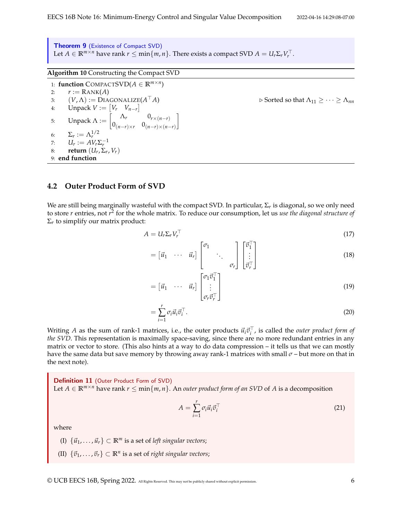Theorem 9 (Existence of Compact SVD) Let  $A \in \mathbb{R}^{m \times n}$  have rank  $r \leq \min\{m, n\}$ . There exists a compact SVD  $A = U_r \Sigma_r V_r^{\top}$ .

**Algorithm 10** Constructing the Compact SVD

1: **function** COMPACTSVD $(A \in \mathbb{R}^{m \times n})$ 2:  $r := \text{RANK}(A)$ 3:  $(V, \Lambda) := \text{DIAGONALIZE}(A^{\top}A)$ <sup>⊤</sup>*A*) ▷ Sorted so that Λ<sup>11</sup> ≥ · · · ≥ Λ*nn* 4: Unpack  $V := \begin{bmatrix} V_r & V_{n-r} \end{bmatrix}$ 5: Unpack  $\Lambda := \begin{bmatrix} \Lambda_r & 0_{r \times (n-r)} \ 0 & 0 & 0 \end{bmatrix}$  $0_{(n-r)\times r}$   $0_{(n-r)\times(n-r)}$ 1 6:  $\Sigma_r := \Lambda_r^{1/2}$ 7:  $U_r := AV_r \Sigma_r^{-1}$ 8: **return**  $(U_r, \Sigma_r, V_r)$ 9: **end function**

### **4.2 Outer Product Form of SVD**

We are still being marginally wasteful with the compact SVD. In particular,  $\Sigma_r$  is diagonal, so we only need to store *r* entries, not *r*<sup>2</sup> for the whole matrix. To reduce our consumption, let us *use the diagonal structure of*  $\Sigma_r$  to simplify our matrix product:

$$
A = U_r \Sigma_r V_r^\top \tag{17}
$$

$$
= \begin{bmatrix} \vec{u}_1 & \cdots & \vec{u}_r \end{bmatrix} \begin{bmatrix} \sigma_1 & & & \\ & \ddots & & \\ & & \sigma_r \end{bmatrix} \begin{bmatrix} \vec{v}_1^{\top} \\ \vdots \\ \vec{v}_r^{\top} \end{bmatrix} \tag{18}
$$

$$
= \begin{bmatrix} \vec{u}_1 & \cdots & \vec{u}_r \end{bmatrix} \begin{bmatrix} \sigma_1 \vec{v}_1^{\top} \\ \vdots \\ \sigma_r \vec{v}_r^{\top} \end{bmatrix}
$$
 (19)

$$
=\sum_{i=1}^r \sigma_i \vec{u}_i \vec{v}_i^{\top}.
$$
\n(20)

Writing *A* as the sum of rank-1 matrices, i.e., the outer products  $\vec{u}_i \vec{v}_i^{\top}$ , is called the *outer product form of the SVD*. This representation is maximally space-saving, since there are no more redundant entries in any matrix or vector to store. (This also hints at a way to do data compression – it tells us that we can mostly have the same data but save memory by throwing away rank-1 matrices with small *σ* – but more on that in the next note).

Definition 11 (Outer Product Form of SVD) Let *A* ∈  $\mathbb{R}^{m \times n}$  have rank *r* ≤ min{*m*, *n*}. An *outer product form of an SVD* of *A* is a decomposition

$$
A = \sum_{i=1}^{r} \sigma_i \vec{u}_i \vec{v}_i^{\top}
$$
 (21)

where

(I)  $\{\vec{u}_1, \ldots, \vec{u}_r\} \subset \mathbb{R}^m$  is a set of *left singular vectors*;

(II)  $\{\vec{v}_1, \dots, \vec{v}_r\} \subset \mathbb{R}^n$  is a set of *right singular vectors*;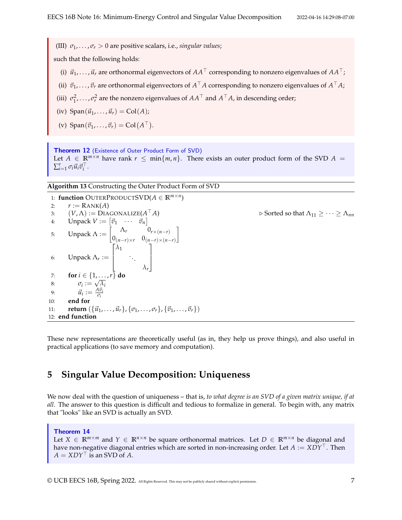(III)  $\sigma_1, \ldots, \sigma_r > 0$  are positive scalars, i.e., *singular values*;

such that the following holds:

- (i)  $\vec{u}_1, \ldots, \vec{u}_r$  are orthonormal eigenvectors of  $AA^\top$  corresponding to nonzero eigenvalues of  $AA^\top$ ;
- (ii)  $\vec{v}_1, \ldots, \vec{v}_r$  are orthonormal eigenvectors of  $A^\top A$  corresponding to nonzero eigenvalues of  $A^\top A$ ;
- (iii)  $\sigma_1^2$ , . . . ,  $\sigma_r^2$  are the nonzero eigenvalues of  $AA^\top$  and  $A^\top A$ , in descending order;
- (iv)  $\text{Span}(\vec{u}_1, \ldots, \vec{u}_r) = \text{Col}(A)$ ;
- (v)  $\text{Span}(\vec{v}_1, \ldots, \vec{v}_r) = \text{Col}(A^{\top}).$

Theorem 12 (Existence of Outer Product Form of SVD) Let  $A \in \mathbb{R}^{m \times n}$  have rank  $r \leq \min\{m, n\}$ . There exists an outer product form of the SVD  $A =$  $\sum_{i=1}^r \sigma_i \vec{u}_i \vec{v}_i^{\top}$ .

**Algorithm 13** Constructing the Outer Product Form of SVD

1: **function** OUTERPRODUCTSVD(*A* ∈ **R***m*×*<sup>n</sup>* ) 2:  $r := \text{RANK}(A)$ 3:  $(V, \Lambda) := \text{DIAGONALIZE}(A^{\top}A)$  $\rhd$  Sorted so that  $Λ_{11} ≥ ⋯ ≥ Λ_{nn}$ 4: Unpack  $V := [\vec{v}_1 \quad \cdots \quad \vec{v}_n]$ 5: Unpack  $\Lambda := \begin{bmatrix} \Lambda_r & 0_{r \times (n-r)} \ 0 & 0 & 0 \end{bmatrix}$  $0_{(n-r)\times r}$   $0_{(n-r)\times(n-r)}$ 1 6: Unpack  $\Lambda_r :=$  $\lceil$  $\Big\}$ *λ*1 . . . *λr* 1  $\overline{\phantom{a}}$ 7: **for**  $i \in \{1, \ldots, r\}$  do 8:  $\sigma_i := \sqrt{\lambda_i}$ 9:  $\vec{u}_i := \frac{A \vec{v}_i}{\sigma_i}$ *σi* 10: **end for** 11: **return**  $({\vec{u}_1, ..., \vec{u}_r}, {\vec{v}_1, ..., \vec{v}_r}, {\vec{v}_1, ..., \vec{v}_r})$ 12: **end function**

These new representations are theoretically useful (as in, they help us prove things), and also useful in practical applications (to save memory and computation).

### **5 Singular Value Decomposition: Uniqueness**

We now deal with the question of uniqueness – that is, *to what degree is an SVD of a given matrix unique, if at all*. The answer to this question is difficult and tedious to formalize in general. To begin with, any matrix that "looks" like an SVD is actually an SVD.

<span id="page-6-0"></span>Theorem 14 Let  $X \in \mathbb{R}^{m \times m}$  and  $Y \in \mathbb{R}^{n \times n}$  be square orthonormal matrices. Let  $D \in \mathbb{R}^{m \times n}$  be diagonal and have non-negative diagonal entries which are sorted in non-increasing order. Let *A* := *XDY*⊤. Then  $A = XDY^{\top}$  is an SVD of *A*.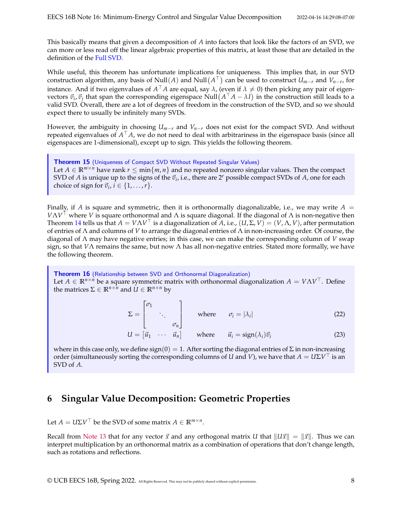This basically means that given a decomposition of *A* into factors that look like the factors of an SVD, we can more or less read off the linear algebraic properties of this matrix, at least those that are detailed in the definition of the [Full SVD.](#page-2-2)

While useful, this theorem has unfortunate implications for uniqueness. This implies that, in our SVD construction algorithm, any basis of Null(A) and Null( $A^{\top}$ ) can be used to construct  $U_{m-r}$  and  $V_{n-r}$ , for instance. And if two eigenvalues of  $A^{\top}A$  are equal, say  $\lambda$ , (even if  $\lambda \neq 0$ ) then picking any pair of eigenvectors  $\vec{v}_i$ ,  $\vec{v}_j$  that span the corresponding eigenspace Null  $(A^T A - \lambda I)$  in the construction still leads to a valid SVD. Overall, there are a lot of degrees of freedom in the construction of the SVD, and so we should expect there to usually be infinitely many SVDs.

However, the ambiguity in choosing  $U_{m-r}$  and  $V_{n-r}$  does not exist for the compact SVD. And without repeated eigenvalues of *A* <sup>⊤</sup>*A*, we do not need to deal with arbitrariness in the eigenspace basis (since all eigenspaces are 1-dimensional), except up to sign. This yields the following theorem.

Theorem 15 (Uniqueness of Compact SVD Without Repeated Singular Values) Let  $A \in \mathbb{R}^{m \times n}$  have rank  $r \leq \min\{m, n\}$  and no repeated nonzero singular values. Then the compact SVD of *A* is unique up to the signs of the  $\vec{v}_i$ , i.e., there are 2<sup>*r*</sup> possible compact SVDs of *A*, one for each choice of sign for  $\vec{v}_i$ ,  $i \in \{1, \ldots, r\}$ .

Finally, if *A* is square and symmetric, then it is orthonormally diagonalizable, i.e., we may write  $A =$ *V*Λ*V* <sup>⊤</sup> where *V* is square orthonormal and Λ is square diagonal. If the diagonal of Λ is non-negative then Theorem [14](#page-6-0) tells us that  $A = V\Lambda V^{\top}$  is a diagonalization of  $\overline{A}$ , i.e.,  $(U,\Sigma,V) = (V,\Lambda,V)$ , after permutation of entries of Λ and columns of *V* to arrange the diagonal entries of Λ in non-increasing order. Of course, the diagonal of Λ may have negative entries; in this case, we can make the corresponding column of *V* swap sign, so that *V*Λ remains the same, but now Λ has all non-negative entries. Stated more formally, we have the following theorem.

Theorem 16 (Relationship between SVD and Orthonormal Diagonalization) Let  $A \in \mathbb{R}^{n \times n}$  be a square symmetric matrix with orthonormal diagonalization  $A = V \Lambda V^{\top}$ . Define the matrices  $\Sigma \in \mathbb{R}^{n \times n}$  and  $U \in \mathbb{R}^{n \times n}$  by

$$
\Sigma = \begin{bmatrix} \sigma_1 & & \\ & \ddots & \\ & & \sigma_n \end{bmatrix} \quad \text{where} \quad \sigma_i = |\lambda_i| \tag{22}
$$

 $U = \begin{bmatrix} \vec{u}_1 & \cdots & \vec{u}_n \end{bmatrix}$  where  $\vec{u}_i = \text{sign}(\lambda_i) \vec{v}_i$ (23)

where in this case only, we define sign(0) = 1. After sorting the diagonal entries of  $\Sigma$  in non-increasing order (simultaneously sorting the corresponding columns of *U* and *V*), we have that  $A = U\Sigma V^{\top}$  is an SVD of *A*.

# <span id="page-7-0"></span>**6 Singular Value Decomposition: Geometric Properties**

Let  $A = U\Sigma V^{\top}$  be the SVD of some matrix  $A \in \mathbb{R}^{m \times n}$ .

Recall from [Note 13](https://www.eecs16b.org/notes/sp22/note13.pdf) that for any vector  $\vec{x}$  and any orthogonal matrix *U* that  $||U\vec{x}|| = ||\vec{x}||$ . Thus we can interpret multiplication by an orthonormal matrix as a combination of operations that don't change length, such as rotations and reflections.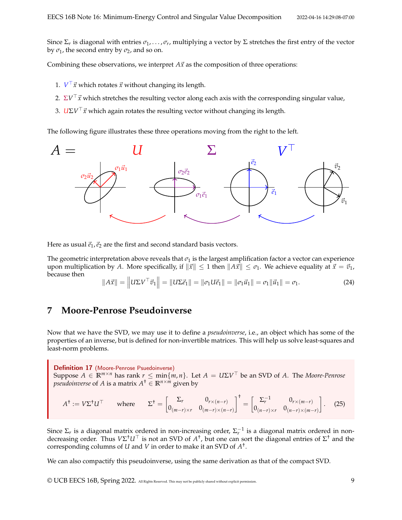Since  $\Sigma_r$  is diagonal with entries  $\sigma_1,\ldots,\sigma_r$ , multiplying a vector by  $\Sigma$  stretches the first entry of the vector by  $\sigma_1$ , the second entry by  $\sigma_2$ , and so on.

Combining these observations, we interpret  $A\vec{x}$  as the composition of three operations:

- 1.  $V^{\top} \vec{x}$  which rotates  $\vec{x}$  without changing its length.
- 2.  $\Sigma V^\top \vec{x}$  which stretches the resulting vector along each axis with the corresponding singular value,
- 3. *U*Σ*V* <sup>⊤</sup>⃗*x* which again rotates the resulting vector without changing its length.

The following figure illustrates these three operations moving from the right to the left.



Here as usual  $\vec{e}_1$ ,  $\vec{e}_2$  are the first and second standard basis vectors.

The geometric interpretation above reveals that  $\sigma_1$  is the largest amplification factor a vector can experience upon multiplication by *A*. More specifically, if  $\|\vec{x}\| \leq 1$  then  $\|A\vec{x}\| \leq \sigma_1$ . We achieve equality at  $\vec{x} = \vec{v}_1$ , because then

$$
||A\vec{x}|| = ||U\Sigma V^{\top}\vec{v}_1|| = ||U\Sigma \vec{e}_1|| = ||\sigma_1 U \vec{e}_1|| = ||\sigma_1 \vec{u}_1|| = \sigma_1 ||\vec{u}_1|| = \sigma_1.
$$
 (24)

### <span id="page-8-0"></span>**7 Moore-Penrose Pseudoinverse**

Now that we have the SVD, we may use it to define a *pseudoinverse*, i.e., an object which has some of the properties of an inverse, but is defined for non-invertible matrices. This will help us solve least-squares and least-norm problems.

Definition 17 (Moore-Penrose Psuedoinverse) Suppose  $A \in \mathbb{R}^{m \times n}$  has rank  $r \le \min\{m, n\}$ . Let  $A = U\Sigma V^{\top}$  be an SVD of A. The *Moore-Penrose pseudoinverse* of *A* is a matrix  $A^{\dagger} \in \mathbb{R}^{n \times m}$  given by

$$
A^{\dagger} := V\Sigma^{\dagger}U^{\top} \qquad \text{where} \qquad \Sigma^{\dagger} = \begin{bmatrix} \Sigma_r & 0_{r \times (n-r)} \\ 0_{(m-r) \times r} & 0_{(m-r) \times (n-r)} \end{bmatrix}^{\dagger} = \begin{bmatrix} \Sigma_r^{-1} & 0_{r \times (m-r)} \\ 0_{(n-r) \times r} & 0_{(n-r) \times (m-r)} \end{bmatrix}.
$$
 (25)

Since  $\Sigma_r$  is a diagonal matrix ordered in non-increasing order,  $\Sigma_r^{-1}$  is a diagonal matrix ordered in nondecreasing order. Thus *V*Σ †*U*<sup>⊤</sup> is not an SVD of *A* † , but one can sort the diagonal entries of Σ † and the corresponding columns of *U* and *V* in order to make it an SVD of *A* † .

We can also compactify this pseudoinverse, using the same derivation as that of the compact SVD.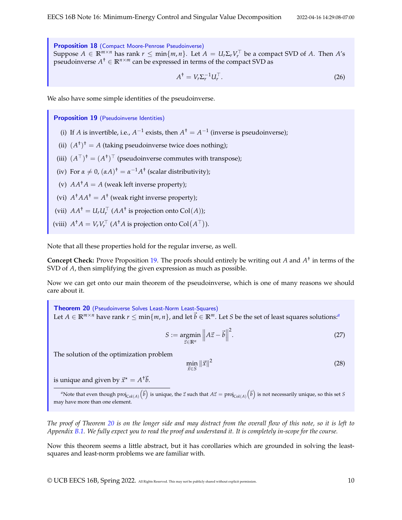Proposition 18 (Compact Moore-Penrose Pseudoinverse) Suppose  $A \in \mathbb{R}^{m \times n}$  has rank  $r \le \min\{m, n\}$ . Let  $A = U_r \Sigma_r V_r^\top$  be a compact SVD of *A*. Then *A*'s pseudoinverse  $A^{\dagger} \in \mathbb{R}^{n \times m}$  can be expressed in terms of the compact SVD as

$$
A^{\dagger} = V_r \Sigma_r^{-1} U_r^{\top}.
$$
\n<sup>(26)</sup>

We also have some simple identities of the pseudoinverse.

<span id="page-9-0"></span>Proposition 19 (Pseudoinverse Identities)

- (i) If *A* is invertible, i.e.,  $A^{-1}$  exists, then  $A^{\dagger} = A^{-1}$  (inverse is pseudoinverse);
- (ii)  $(A^{\dagger})^{\dagger} = A$  (taking pseudoinverse twice does nothing);
- (iii)  $(A^{\top})^{\dagger} = (A^{\dagger})^{\top}$  (pseudoinverse commutes with transpose);
- (iv) For  $\alpha \neq 0$ ,  $(\alpha A)^{\dagger} = \alpha^{-1} A^{\dagger}$  (scalar distributivity);
- (v)  $AA^{\dagger}A = A$  (weak left inverse property);
- (vi)  $A^{\dagger}AA^{\dagger} = A^{\dagger}$  (weak right inverse property);
- (vii)  $AA^{\dagger} = U_r U_r^{\top} (AA^{\dagger} \text{ is projection onto } \text{Col}(A));$
- (viii)  $A^{\dagger}A = V_r V_r^{\top}$  ( $A^{\dagger}A$  is projection onto  $\text{Col}(A^{\top})$ ).

Note that all these properties hold for the regular inverse, as well.

**Concept Check:** Prove Proposition [19.](#page-9-0) The proofs should entirely be writing out *A* and *A* † in terms of the SVD of *A*, then simplifying the given expression as much as possible.

Now we can get onto our main theorem of the pseudoinverse, which is one of many reasons we should care about it.

<span id="page-9-2"></span>Theorem 20 (Pseudoinverse Solves Least-Norm Least-Squares) Let  $A \in \mathbb{R}^{m \times n}$  $A \in \mathbb{R}^{m \times n}$  $A \in \mathbb{R}^{m \times n}$  have rank  $r \le \min\{m, n\}$ , and let  $\vec{b} \in \mathbb{R}^m$ . Let *S* be the set of least squares solutions:<sup>*a*</sup>

> $S := \text{argmin}$ ⃗*z*∈**R***<sup>n</sup>*  $\left\| A\vec{z} - \vec{b} \right\|$ 2 .  $(27)$

The solution of the optimization problem

 $\min_{\vec{x} \in S} \|\vec{x}\|^2$ 

(28)

is unique and given by  $\vec{x}^{\star} = A^{\dagger} \vec{b}$ .

<span id="page-9-1"></span> $^a$ Note that even though  $\text{proj}_{\text{Col}(A)}\left(\vec{b}\right)$  is unique, the  $\vec{z}$  such that  $A\vec{z}=\text{proj}_{\text{Col}(A)}\left(\vec{b}\right)$  is not necessarily unique, so this set  $S$ may have more than one element.

*The proof of Theorem [20](#page-9-2) is on the longer side and may distract from the overall flow of this note, so it is left to Appendix [B.1.](#page-19-0) We fully expect you to read the proof and understand it. It is completely in-scope for the course.*

Now this theorem seems a little abstract, but it has corollaries which are grounded in solving the leastsquares and least-norm problems we are familiar with.

© UCB EECS 16B, Spring 2022. All Rights Reserved. This may not be publicly shared without explicit permission. 10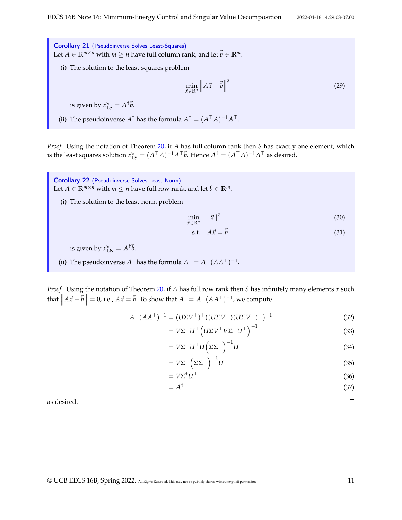Corollary 21 (Pseudoinverse Solves Least-Squares) Let *A* ∈  $\mathbb{R}^{m \times n}$  with *m*  $\geq n$  have full column rank, and let  $\vec{b} \in \mathbb{R}^m$ .

(i) The solution to the least-squares problem

$$
\min_{\vec{x} \in \mathbb{R}^n} \left\| A\vec{x} - \vec{b} \right\|^2 \tag{29}
$$

is given by  $\vec{x}_{\text{LS}}^{\star} = A^{\dagger} \vec{b}$ .

(ii) The pseudoinverse  $A^{\dagger}$  has the formula  $A^{\dagger} = (A^{\top}A)^{-1}A^{\top}$ .

*Proof.* Using the notation of Theorem [20,](#page-9-2) if *A* has full column rank then *S* has exactly one element, which is the least squares solution  $\vec{x}_{\text{LS}}^* = (A^\top A)^{-1}A^\top \vec{b}$ . Hence  $A^\dagger = (A^\top A)^{-1}A^\top$  as desired.  $\Box$ 

Corollary 22 (Pseudoinverse Solves Least-Norm) Let *A* ∈  $\mathbb{R}^{m \times n}$  with *m*  $\leq$  *n* have full row rank, and let  $\vec{b} \in \mathbb{R}^m$ .

(i) The solution to the least-norm problem

$$
\min_{\vec{x} \in \mathbb{R}^n} \quad \|\vec{x}\|^2 \tag{30}
$$

$$
\text{s.t.} \quad A\vec{x} = \vec{b} \tag{31}
$$

is given by  $\vec{x}_{\text{LN}}^{\star} = A^{\dagger} \vec{b}$ .

(ii) The pseudoinverse  $A^{\dagger}$  has the formula  $A^{\dagger} = A^{\top} (A A^{\top})^{-1}$ .

*Proof.* Using the notation of Theorem [20,](#page-9-2) if *A* has full row rank then *S* has infinitely many elements  $\vec{x}$  such that  $\left\| A\vec{x} - \vec{b} \right\| = 0$ , i.e.,  $A\vec{x} = \vec{b}$ . To show that  $A^{\dagger} = A^{\top} (AA^{\top})^{-1}$ , we compute

$$
A^{\top} (AA^{\top})^{-1} = (U\Sigma V^{\top})^{\top} ((U\Sigma V^{\top}) (U\Sigma V^{\top})^{\top})^{-1}
$$
\n(32)

$$
= V\Sigma^\top U^\top \left( U\Sigma V^\top V \Sigma^\top U^\top \right)^{-1} \tag{33}
$$

$$
= V\Sigma^\top U^\top U \left(\Sigma \Sigma^\top\right)^{-1} U^\top \tag{34}
$$

$$
= V\Sigma^{\top} \left( \Sigma \Sigma^{\top} \right)^{-1} U^{\top}
$$
\n(35)

$$
= V\Sigma^{\dagger}U^{\top}
$$
 (36)

$$
=A^{\dagger}
$$
 (37)

as desired.

 $\Box$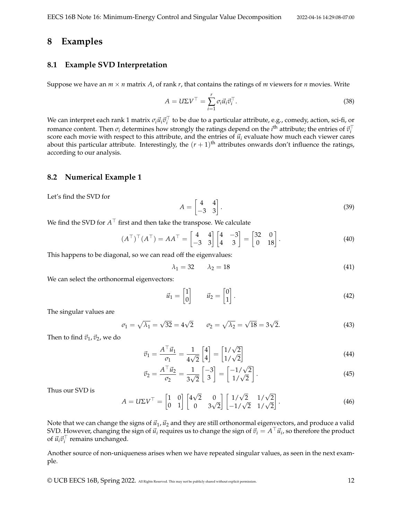### **8 Examples**

#### **8.1 Example SVD Interpretation**

Suppose we have an  $m \times n$  matrix *A*, of rank *r*, that contains the ratings of *m* viewers for *n* movies. Write

$$
A = U\Sigma V^{\top} = \sum_{i=1}^{r} \sigma_i \vec{u}_i \vec{v}_i^{\top}.
$$
\n(38)

We can interpret each rank 1 matrix  $\sigma_i \vec{u}_i \vec{v}_i^\top$  to be due to a particular attribute, e.g., comedy, action, sci-fi, or romance content. Then  $\sigma_i$  determines how strongly the ratings depend on the *i*<sup>th</sup> attribute; the entries of  $\vec{v}_i^{\top}$ score each movie with respect to this attribute, and the entries of  $\vec{u}_i$  evaluate how much each viewer cares about this particular attribute. Interestingly, the  $(r + 1)$ <sup>th</sup> attributes onwards don't influence the ratings, according to our analysis.

#### **8.2 Numerical Example 1**

Let's find the SVD for

$$
A = \begin{bmatrix} 4 & 4 \\ -3 & 3 \end{bmatrix}.
$$
 (39)

We find the SVD for  $A^\top$  first and then take the transpose. We calculate

$$
(AT)T(AT) = AAT = \begin{bmatrix} 4 & 4 \\ -3 & 3 \end{bmatrix} \begin{bmatrix} 4 & -3 \\ 4 & 3 \end{bmatrix} = \begin{bmatrix} 32 & 0 \\ 0 & 18 \end{bmatrix}.
$$
 (40)

This happens to be diagonal, so we can read off the eigenvalues:

$$
\lambda_1 = 32 \qquad \lambda_2 = 18 \tag{41}
$$

We can select the orthonormal eigenvectors:

$$
\vec{u}_1 = \begin{bmatrix} 1 \\ 0 \end{bmatrix} \qquad \vec{u}_2 = \begin{bmatrix} 0 \\ 1 \end{bmatrix} . \tag{42}
$$

The singular values are

$$
\sigma_1 = \sqrt{\lambda_1} = \sqrt{32} = 4\sqrt{2} \qquad \sigma_2 = \sqrt{\lambda_2} = \sqrt{18} = 3\sqrt{2}.
$$
 (43)

Then to find  $\vec{v}_1$ ,  $\vec{v}_2$ , we do

$$
\vec{v}_1 = \frac{A^\top \vec{u}_1}{\sigma_1} = \frac{1}{4\sqrt{2}} \begin{bmatrix} 4\\4 \end{bmatrix} = \begin{bmatrix} 1/\sqrt{2} \\ 1/\sqrt{2} \end{bmatrix} \tag{44}
$$

$$
\vec{v}_2 = \frac{A^\top \vec{u}_2}{\sigma_2} = \frac{1}{3\sqrt{2}} \begin{bmatrix} -3\\3 \end{bmatrix} = \begin{bmatrix} -1/\sqrt{2} \\ 1/\sqrt{2} \end{bmatrix} . \tag{45}
$$

Thus our SVD is

$$
A = U\Sigma V^{\top} = \begin{bmatrix} 1 & 0 \\ 0 & 1 \end{bmatrix} \begin{bmatrix} 4\sqrt{2} & 0 \\ 0 & 3\sqrt{2} \end{bmatrix} \begin{bmatrix} 1/\sqrt{2} & 1/\sqrt{2} \\ -1/\sqrt{2} & 1/\sqrt{2} \end{bmatrix}.
$$
 (46)

Note that we can change the signs of  $\vec{u}_1$ ,  $\vec{u}_2$  and they are still orthonormal eigenvectors, and produce a valid SVD. However, changing the sign of  $\vec{u}_i$  requires us to change the sign of  $\vec{v}_i = A^\top \vec{u}_i$ , so therefore the product of  $\vec{u}_i \vec{v}_i^{\top}$  remains unchanged.

Another source of non-uniqueness arises when we have repeated singular values, as seen in the next example.

© UCB EECS 16B, Spring 2022. All Rights Reserved. This may not be publicly shared without explicit permission. 12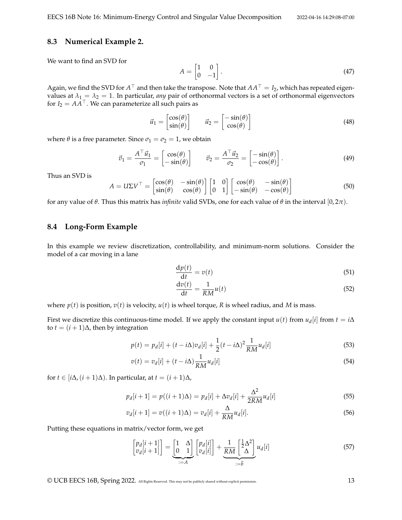#### **8.3 Numerical Example 2.**

We want to find an SVD for

$$
A = \begin{bmatrix} 1 & 0 \\ 0 & -1 \end{bmatrix}.
$$
 (47)

Again, we find the SVD for  $A^\top$  and then take the transpose. Note that  $AA^\top=I_2$ , which has repeated eigenvalues at  $\lambda_1 = \lambda_2 = 1$ . In particular, *any* pair of orthonormal vectors is a set of orthonormal eigenvectors for *I*<sub>2</sub> =  $AA^{\top}$ . We can parameterize all such pairs as

$$
\vec{u}_1 = \begin{bmatrix} \cos(\theta) \\ \sin(\theta) \end{bmatrix} \qquad \vec{u}_2 = \begin{bmatrix} -\sin(\theta) \\ \cos(\theta) \end{bmatrix} \tag{48}
$$

where  $\theta$  is a free parameter. Since  $\sigma_1 = \sigma_2 = 1$ , we obtain

$$
\vec{v}_1 = \frac{A^\top \vec{u}_1}{\sigma_1} = \begin{bmatrix} \cos(\theta) \\ -\sin(\theta) \end{bmatrix} \qquad \vec{v}_2 = \frac{A^\top \vec{u}_2}{\sigma_2} = \begin{bmatrix} -\sin(\theta) \\ -\cos(\theta) \end{bmatrix}.
$$
 (49)

Thus an SVD is

$$
A = U\Sigma V^{\top} = \begin{bmatrix} \cos(\theta) & -\sin(\theta) \\ \sin(\theta) & \cos(\theta) \end{bmatrix} \begin{bmatrix} 1 & 0 \\ 0 & 1 \end{bmatrix} \begin{bmatrix} \cos(\theta) & -\sin(\theta) \\ -\sin(\theta) & -\cos(\theta) \end{bmatrix}
$$
(50)

for any value of *θ*. Thus this matrix has *infinite* valid SVDs, one for each value of *θ* in the interval [0, 2*π*).

#### **8.4 Long-Form Example**

In this example we review discretization, controllability, and minimum-norm solutions. Consider the model of a car moving in a lane

$$
\frac{\mathrm{d}p(t)}{\mathrm{d}t} = v(t) \tag{51}
$$

$$
\frac{\mathrm{d}v(t)}{\mathrm{d}t} = \frac{1}{RM}u(t) \tag{52}
$$

where  $p(t)$  is position,  $v(t)$  is velocity,  $u(t)$  is wheel torque, *R* is wheel radius, and *M* is mass.

First we discretize this continuous-time model. If we apply the constant input  $u(t)$  from  $u_d[i]$  from  $t = i\Delta$ to *t* =  $(i + 1)$ ∆, then by integration

$$
p(t) = p_d[i] + (t - i\Delta)v_d[i] + \frac{1}{2}(t - i\Delta)^2 \frac{1}{RM} u_d[i]
$$
\n(53)

$$
v(t) = v_d[i] + (t - i\Delta) \frac{1}{RM} u_d[i] \tag{54}
$$

for *t* ∈ [ $i\Delta$ ,  $(i+1)\Delta$ ). In particular, at  $t = (i+1)\Delta$ ,

$$
p_d[i+1] = p((i+1)\Delta) = p_d[i] + \Delta v_d[i] + \frac{\Delta^2}{2RM}u_d[i]
$$
\n(55)

$$
v_d[i+1] = v((i+1)\Delta) = v_d[i] + \frac{\Delta}{RM}u_d[i].
$$
\n(56)

Putting these equations in matrix/vector form, we get

$$
\begin{bmatrix} p_d[i+1] \\ v_d[i+1] \end{bmatrix} = \underbrace{\begin{bmatrix} 1 & \Delta \\ 0 & 1 \end{bmatrix}}_{:=A} \begin{bmatrix} p_d[i] \\ v_d[i] \end{bmatrix} + \underbrace{\frac{1}{RM} \begin{bmatrix} \frac{1}{2} \Delta^2 \\ \Delta \end{bmatrix}}_{:=\vec{b}} u_d[i] \tag{57}
$$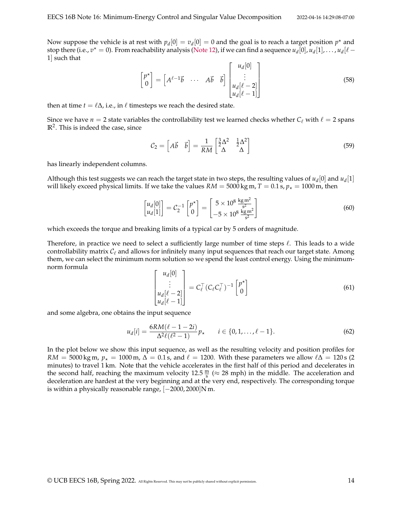Now suppose the vehicle is at rest with  $p_d[0] = v_d[0] = 0$  and the goal is to reach a target position  $p^*$  and stop there (i.e.,  $v^* = 0$ ). From reachability analysis [\(Note 12\)](https://www.eecs16b.org/notes/sp22/note12.pdf), if we can find a sequence  $u_d[0], u_d[1], \ldots, u_d[\ell-1]$ 1] such that

$$
\begin{bmatrix} p^* \\ 0 \end{bmatrix} = \begin{bmatrix} A^{\ell-1} \vec{b} & \cdots & A \vec{b} & \vec{b} \end{bmatrix} \begin{bmatrix} u_d[0] \\ \vdots \\ u_d[\ell-2] \\ u_d[\ell-1] \end{bmatrix}
$$
(58)

then at time  $t = \ell \Delta$ , i.e., in  $\ell$  timesteps we reach the desired state.

Since we have  $n = 2$  state variables the controllability test we learned checks whether  $C_\ell$  with  $\ell = 2$  spans **R**<sup>2</sup> . This is indeed the case, since

$$
\mathcal{C}_2 = \begin{bmatrix} A\vec{b} & \vec{b} \end{bmatrix} = \frac{1}{RM} \begin{bmatrix} \frac{3}{2}\Delta^2 & \frac{1}{2}\Delta^2\\ \Delta & \Delta \end{bmatrix}
$$
(59)

has linearly independent columns.

Although this test suggests we can reach the target state in two steps, the resulting values of  $u_d[0]$  and  $u_d[1]$ will likely exceed physical limits. If we take the values  $RM = 5000$  kg m,  $T = 0.1$  s,  $p_{\star} = 1000$  m, then

$$
\begin{bmatrix} u_d[0] \\ u_d[1] \end{bmatrix} = C_2^{-1} \begin{bmatrix} p^* \\ 0 \end{bmatrix} = \begin{bmatrix} 5 \times 10^8 \frac{\text{kg m}^2}{\text{s}^2} \\ -5 \times 10^8 \frac{\text{kg m}^2}{\text{s}^2} \end{bmatrix}
$$
 (60)

which exceeds the torque and breaking limits of a typical car by 5 orders of magnitude.

Therefore, in practice we need to select a sufficiently large number of time steps  $\ell$ . This leads to a wide controllability matrix  $\mathcal{C}_{\ell}$  and allows for infinitely many input sequences that reach our target state. Among them, we can select the minimum norm solution so we spend the least control energy. Using the minimumnorm formula

$$
\begin{bmatrix} u_d[0] \\ \vdots \\ u_d[\ell-2] \\ u_d[\ell-1] \end{bmatrix} = C_{\ell}^{\top} (C_{\ell} C_{\ell}^{\top})^{-1} \begin{bmatrix} p^{\star} \\ 0 \end{bmatrix}
$$
 (61)

and some algebra, one obtains the input sequence

$$
u_d[i] = \frac{6RM(\ell - 1 - 2i)}{\Delta^2 \ell(\ell^2 - 1)} p_\star \qquad i \in \{0, 1, \dots, \ell - 1\}.
$$
 (62)

In the plot below we show this input sequence, as well as the resulting velocity and position profiles for  $RM = 5000 \text{ kg m}$ ,  $p<sub>x</sub> = 1000 \text{ m}$ ,  $\Delta = 0.1 \text{ s}$ , and  $\ell = 1200$ . With these parameters we allow  $\ell\Delta = 120 \text{ s}$  (2) minutes) to travel 1 km. Note that the vehicle accelerates in the first half of this period and decelerates in the second half, reaching the maximum velocity  $12.5 \frac{m}{s} \approx 28$  mph) in the middle. The acceleration and deceleration are hardest at the very beginning and at the very end, respectively. The corresponding torque is within a physically reasonable range,  $[-2000, 2000]$ N m.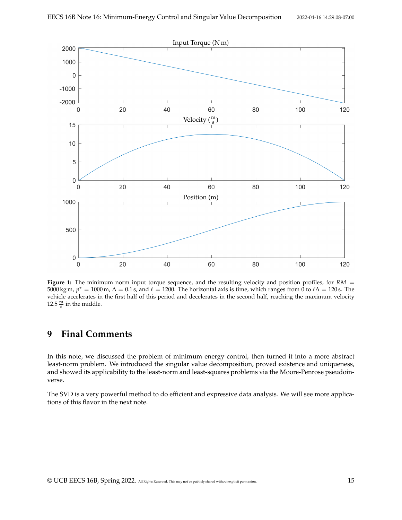

**Figure 1:** The minimum norm input torque sequence, and the resulting velocity and position profiles, for *RM* = 5000 kg m,  $p^* = 1000$  m,  $\Delta = 0.1$  s, and  $\ell = 1200$ . The horizontal axis is time, which ranges from 0 to  $\ell\Delta = 120$  s. The vehicle accelerates in the first half of this period and decelerates in the second half, reaching the maximum velocity 12.5  $\frac{m}{s}$  in the middle.

## **9 Final Comments**

In this note, we discussed the problem of minimum energy control, then turned it into a more abstract least-norm problem. We introduced the singular value decomposition, proved existence and uniqueness, and showed its applicability to the least-norm and least-squares problems via the Moore-Penrose pseudoinverse.

The SVD is a very powerful method to do efficient and expressive data analysis. We will see more applications of this flavor in the next note.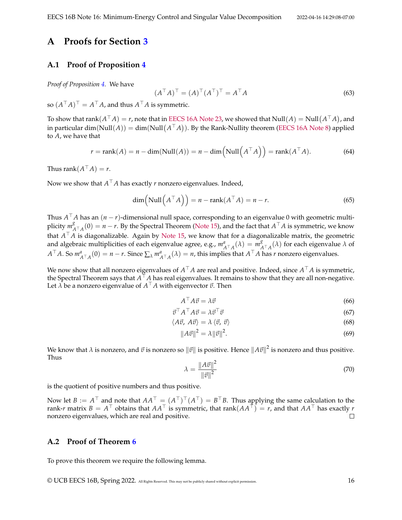### **A Proofs for Section [3](#page-2-0)**

### <span id="page-15-0"></span>**A.1 Proof of Proposition [4](#page-2-1)**

*Proof of Proposition [4.](#page-2-1)* We have

$$
(AT A)T = (A)T (AT)T = AT A
$$
\n(63)

so  $(A^{\top}A)^{\top} = A^{\top}A$ , and thus  $A^{\top}A$  is symmetric.

To show that  $\text{rank}(A^\top A)=r$ , note that in [EECS 16A Note 23,](https://eecs16a.org/lecture/Note23.pdf) we showed that  $\text{Null}(A)=\text{Null}(A^\top A)$ , and in particular  $dim(Null(A)) = dim(Null(A^{\top}A))$ . By the Rank-Nullity theorem [\(EECS 16A Note 8\)](https://eecs16a.org/lecture/Note8.pdf) applied to *A*, we have that

$$
r = \text{rank}(A) = n - \dim(\text{Null}(A)) = n - \dim(\text{Null}\left(A^{\top}A\right)) = \text{rank}(A^{\top}A). \tag{64}
$$

Thus rank $(A^{\top}A) = r$ .

Now we show that  $A^\top A$  has exactly  $r$  nonzero eigenvalues. Indeed,

$$
\dim\left(\text{Null}\left(A^{\top}A\right)\right) = n - \text{rank}(A^{\top}A) = n - r. \tag{65}
$$

Thus *A* <sup>⊤</sup>*A* has an (*n* − *r*)-dimensional null space, corresponding to an eigenvalue 0 with geometric multiplicity *m g A*⊤<sub>*A*</sub>(0) = *n* − *r*. By the Spectral Theorem [\(Note 15\)](https://www.eecs16b.org/notes/sp22/note15.pdf), and the fact that  $A<sup>T</sup>A$  is symmetric, we know that *A* <sup>⊤</sup>*A* is diagonalizable. Again by [Note 15,](https://www.eecs16b.org/notes/sp22/note15.pdf) we know that for a diagonalizable matrix, the geometric and algebraic multiplicities of each eigenvalue agree, e.g.,  $m_{A<sup>T</sup>A}^a(\lambda) = m_{A<sup>T</sup>}^g$ *A*<sup>⊤</sup> *A* (*λ*) for each eigenvalue *λ* of  $A^{\top}A$ . So  $m_{A^{\top}A}^a(0) = n - r$ . Since  $\sum_{\lambda} m_{A^{\top}A}^a(\lambda) = n$ , this implies that  $A^{\top}A$  has r nonzero eigenvalues.

We now show that all nonzero eigenvalues of *A* <sup>⊤</sup>*A* are real and positive. Indeed, since *A* <sup>⊤</sup>*A* is symmetric, the Spectral Theorem says that *A* <sup>⊤</sup>*A* has real eigenvalues. It remains to show that they are all non-negative. Let  $\hat{\lambda}$  be a nonzero eigenvalue of  $A^{\top}A$  with eigenvector  $\vec{v}$ . Then

$$
A^{\top} A \vec{v} = \lambda \vec{v} \tag{66}
$$

$$
\vec{v}^\top A^\top A \vec{v} = \lambda \vec{v}^\top \vec{v} \tag{67}
$$

$$
\langle A\vec{v}, A\vec{v}\rangle = \lambda \langle \vec{v}, \vec{v}\rangle \tag{68}
$$

$$
||A\vec{v}||^2 = \lambda ||\vec{v}||^2. \tag{69}
$$

We know that  $\lambda$  is nonzero, and  $\vec v$  is nonzero so  $\|\vec v\|$  is positive. Hence  $\|A\vec v\|^2$  is nonzero and thus positive. Thus

$$
\lambda = \frac{\|A\vec{v}\|^2}{\|\vec{v}\|^2} \tag{70}
$$

is the quotient of positive numbers and thus positive.

Now let  $B := A^{\top}$  and note that  $AA^{\top} = (A^{\top})^{\top} (A^{\top}) = B^{\top}B$ . Thus applying the same calculation to the rank-*r* matrix  $B = A^{\top}$  obtains that  $AA^{\top}$  is symmetric, that rank $(AA^{\top}) = r$ , and that  $AA^{\top}$  has exactly *r* nonzero eigenvalues, which are real and positive.  $\Box$ 

#### <span id="page-15-1"></span>**A.2 Proof of Theorem [6](#page-3-0)**

To prove this theorem we require the following lemma.

© UCB EECS 16B, Spring 2022. All Rights Reserved. This may not be publicly shared without explicit permission. 16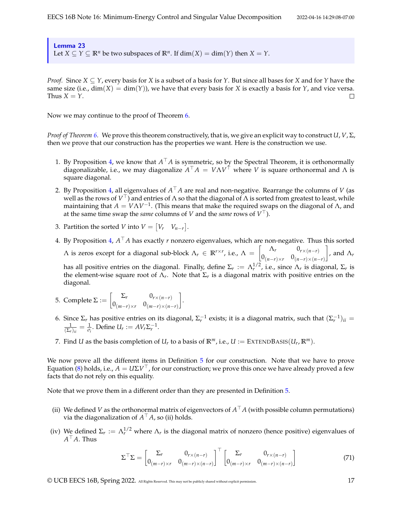<span id="page-16-0"></span>Lemma 23

Let *X*  $\subseteq$  *Y*  $\subseteq$  **R**<sup>*n*</sup> be two subspaces of **R**<sup>*n*</sup>. If dim(*X*) = dim(*Y*) then *X* = *Y*.

*Proof.* Since *X* ⊆ *Y*, every basis for *X* is a subset of a basis for *Y*. But since all bases for *X* and for *Y* have the same size (i.e.,  $\dim(X) = \dim(Y)$ ), we have that every basis for *X* is exactly a basis for *Y*, and vice versa. Thus  $X = Y$ .  $\Box$ 

Now we may continue to the proof of Theorem [6.](#page-3-0)

*Proof of Theorem [6.](#page-3-0)* We prove this theorem constructively, that is, we give an explicit way to construct *U*, *V*, Σ, then we prove that our construction has the properties we want. Here is the construction we use.

- 1. By Proposition [4,](#page-2-1) we know that *A* <sup>⊤</sup>*A* is symmetric, so by the Spectral Theorem, it is orthonormally diagonalizable, i.e., we may diagonalize *A* <sup>⊤</sup>*A* = *V*Λ*V* <sup>⊤</sup> where *V* is square orthonormal and Λ is square diagonal.
- 2. By Proposition [4,](#page-2-1) all eigenvalues of *A* <sup>⊤</sup>*A* are real and non-negative. Rearrange the columns of *V* (as well as the rows of *V* <sup>⊤</sup>) and entries of Λ so that the diagonal of Λ is sorted from greatest to least, while maintaining that  $A = V\Lambda V^{-1}$ . (This means that make the required swaps on the diagonal of  $\Lambda$ , and at the same time swap the *same* columns of *V* and the *same* rows of *V* ⊤).
- 3. Partition the sorted *V* into  $V = \begin{bmatrix} V_r & V_{n-r} \end{bmatrix}$ .
- 4. By Proposition [4,](#page-2-1) *A* <sup>⊤</sup>*A* has exactly *r* nonzero eigenvalues, which are non-negative. Thus this sorted  $\Lambda$  is zeros except for a diagonal sub-block  $\Lambda_r \in \mathbb{R}^{r \times r}$ , i.e.,  $\Lambda = \begin{bmatrix} \Lambda_r & 0_{r \times (n-r)} \\ 0 & \Lambda_r \end{bmatrix}$  $0_{(n-r)\times r}$   $0_{(n-r)\times(n-r)}$  $\Big]$ , and  $\Lambda_r$ has all positive entries on the diagonal. Finally, define  $\Sigma_r := \Lambda_r^{1/2}$ , i.e., since  $\Lambda_r$  is diagonal,  $\Sigma_r$  is the element-wise square root of  $\Lambda_r$ . Note that  $\Sigma_r$  is a diagonal matrix with positive entries on the diagonal.
- 5. Complete Σ :=  $\begin{bmatrix} \Sigma_r & 0_{r \times (n-r)} \ 0 & 0 & 0 \end{bmatrix}$  $0_{(m-r)\times r}$   $0_{(m-r)\times(n-r)}$ .
- 6. Since Σ<sub>*r*</sub> has positive entries on its diagonal, Σ<sub>*r*</sub></sub><sup>-1</sup> exists; it is a diagonal matrix, such that  $(Σ<sub>r</sub><sup>-1</sup>)<sub>ii</sub>$  =  $\frac{1}{(\Sigma_r)_{ii}} = \frac{1}{\sigma_i}$ . Define  $U_r := AV_r \Sigma_r^{-1}$ .
- 7. Find *U* as the basis completion of  $U_r$  to a basis of  $\mathbb{R}^m$ , i.e.,  $U := \text{EXTEDBASS}(U_r, \mathbb{R}^m)$ .

We now prove all the different items in Definition [5](#page-2-2) for our construction. Note that we have to prove Equation [\(8\)](#page-2-3) holds, i.e.,  $A = U\Sigma V^\top$ , for our construction; we prove this once we have already proved a few facts that do not rely on this equality.

Note that we prove them in a different order than they are presented in Definition [5.](#page-2-2)

- (ii) We defined *V* as the orthonormal matrix of eigenvectors of  $A<sup>T</sup>A$  (with possible column permutations) via the diagonalization of  $A^\top A$ , so (ii) holds.
- (iv) We defined  $\Sigma_r := \Lambda_r^{1/2}$  where  $\Lambda_r$  is the diagonal matrix of nonzero (hence positive) eigenvalues of *A* <sup>⊤</sup>*A*. Thus

$$
\Sigma^{\top}\Sigma = \begin{bmatrix} \Sigma_r & 0_{r \times (n-r)} \\ 0_{(m-r) \times r} & 0_{(m-r) \times (n-r)} \end{bmatrix}^{\top} \begin{bmatrix} \Sigma_r & 0_{r \times (n-r)} \\ 0_{(m-r) \times r} & 0_{(m-r) \times (n-r)} \end{bmatrix}
$$
(71)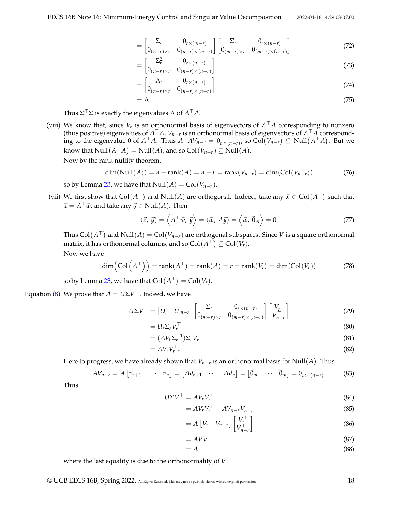$$
= \begin{bmatrix} \Sigma_r & 0_{r \times (m-r)} \\ 0_{(n-r) \times r} & 0_{(n-r) \times (m-r)} \end{bmatrix} \begin{bmatrix} \Sigma_r & 0_{r \times (n-r)} \\ 0_{(m-r) \times r} & 0_{(m-r) \times (n-r)} \end{bmatrix}
$$
(72)

$$
= \begin{bmatrix} \sum_{r}^{2} & 0_{r \times (n-r)} \\ 0_{(n-r) \times r} & 0_{(n-r) \times (n-r)} \end{bmatrix}
$$
 (73)

$$
= \begin{bmatrix} \Lambda_r & 0_{r \times (n-r)} \\ 0_{(n-r) \times r} & 0_{(n-r) \times (n-r)} \end{bmatrix} \tag{74}
$$

$$
=\Lambda.\tag{75}
$$

Thus Σ $^{\top}$ Σ is exactly the eigenvalues Λ of  $A^{\top}A$ .

(viii) We know that, since *V<sup>r</sup>* is an orthonormal basis of eigenvectors of *A* <sup>⊤</sup>*A* corresponding to nonzero (thus positive) eigenvalues of *A* <sup>⊤</sup>*A*, *Vn*−*<sup>r</sup>* is an orthonormal basis of eigenvectors of *A* <sup>⊤</sup>*A* corresponding to the eigenvalue 0 of  $A^{\top}A$ . Thus  $A^{\top}AV_{n-r} = 0_{n \times (n-r)},$  so Col $(V_{n-r})$  ⊆ Null $(A^{\top}A)$ . But we  $\mathsf{know\ that\ Null}(A^{\top}A)=\mathsf{Null}(A)$ , and so  $\mathsf{Col}(V_{n-r})\subseteq\mathsf{Null}(A).$ 

Now by the rank-nullity theorem,

$$
\dim(\text{Null}(A)) = n - \text{rank}(A) = n - r = \text{rank}(V_{n-r}) = \dim(\text{Col}(V_{n-r})) \tag{76}
$$

so by Lemma [23,](#page-16-0) we have that  $Null(A) = Col(V_{n-r})$ .

(vii) We first show that  $Col(A^{\top})$  and  $Null(A)$  are orthogonal. Indeed, take any  $\vec{x} \in Col(A^{\top})$  such that  $\vec{x} = A^{\top} \vec{w}$ , and take any  $\vec{y} \in \text{Null}(A)$ . Then

$$
\langle \vec{x}, \vec{y} \rangle = \langle A^\top \vec{w}, \vec{y} \rangle = \langle \vec{w}, A\vec{y} \rangle = \langle \vec{w}, \vec{0}_m \rangle = 0. \tag{77}
$$

Thus  $\text{Col}(A^\top)$  and  $\text{Null}(A) = \text{Col}(V_{n-r})$  are orthogonal subspaces. Since  $V$  is a square orthonormal matrix, it has orthonormal columns, and so  $\text{Col}(A^{\top})\subseteq\text{Col}(V_r).$ Now we have

$$
\dim\left(\mathrm{Col}\left(A^{\top}\right)\right) = \mathrm{rank}(A^{\top}) = \mathrm{rank}(A) = r = \mathrm{rank}(V_r) = \dim(\mathrm{Col}(V_r))\tag{78}
$$

so by Lemma [23,](#page-16-0) we have that  $\text{Col}(A^\top) = \text{Col}(V_r)$ .

Equation [\(8\)](#page-2-3) We prove that  $A = U\Sigma V^\top.$  Indeed, we have

$$
U\Sigma V^{\top} = \begin{bmatrix} U_r & U_{m-r} \end{bmatrix} \begin{bmatrix} \Sigma_r & 0_{r \times (n-r)} \\ 0_{(m-r) \times r} & 0_{(m-r) \times (n-r)} \end{bmatrix} \begin{bmatrix} V_r^{\top} \\ V_{n-r}^{\top} \end{bmatrix}
$$
(79)

$$
=U_r\Sigma_rV_r^\top\tag{80}
$$

$$
= (AV_r \Sigma_r^{-1}) \Sigma_r V_r^{\top}
$$
\n(81)

$$
=AV_rV_r^{\top}.
$$
\n<sup>(82)</sup>

Here to progress, we have already shown that *Vn*−*<sup>r</sup>* is an orthonormal basis for Null(*A*). Thus

$$
AV_{n-r} = A \begin{bmatrix} \vec{v}_{r+1} & \cdots & \vec{v}_n \end{bmatrix} = \begin{bmatrix} A\vec{v}_{r+1} & \cdots & A\vec{v}_n \end{bmatrix} = \begin{bmatrix} \vec{0}_m & \cdots & \vec{0}_m \end{bmatrix} = 0_{m \times (n-r)}.
$$
 (83)

Thus

$$
U\Sigma V^{\top} = AV_r V_r^{\top}
$$
\n(84)

$$
= AV_r V_r^\top + AV_{n-r} V_{n-r}^\top \tag{85}
$$

$$
= A \begin{bmatrix} V_r & V_{n-r} \end{bmatrix} \begin{bmatrix} V_r^{\top} \\ V_{n-r}^{\top} \end{bmatrix}
$$
 (86)

$$
= AVV^{\top}
$$
 (87)

$$
= A \tag{88}
$$

where the last equality is due to the orthonormality of *V*.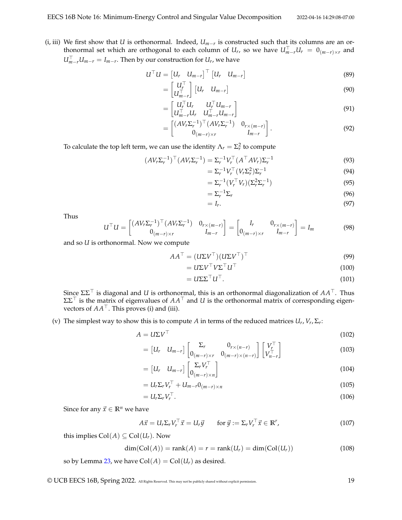(i, iii) We first show that *U* is orthonormal. Indeed, *Um*−*<sup>r</sup>* is constructed such that its columns are an orthonormal set which are orthogonal to each column of  $U_r$ , so we have  $U_{m-r}^\top U_r ~=~ 0_{(m-r)\times r}$  and  $U_{m-r}^{\top}$ *U<sub>m−r</sub>* = *I<sub>m−r</sub>*. Then by our construction for *U<sub>r</sub>*, we have

$$
U^{\top}U = \begin{bmatrix} U_r & U_{m-r} \end{bmatrix}^{\top} \begin{bmatrix} U_r & U_{m-r} \end{bmatrix}
$$
 (89)

$$
= \begin{bmatrix} U_r^{\top} \\ U_{m-r}^{\top} \end{bmatrix} \begin{bmatrix} U_r & U_{m-r} \end{bmatrix}
$$
 (90)

$$
= \begin{bmatrix} U_r^\top U_r & U_r^\top U_{m-r} \\ U_{m-r}^\top U_r & U_{m-r}^\top U_{m-r} \end{bmatrix} \tag{91}
$$

$$
= \begin{bmatrix} (AV_r \Sigma_r^{-1})^\top (AV_r \Sigma_r^{-1}) & 0_{r \times (m-r)} \\ 0_{(m-r) \times r} & I_{m-r} \end{bmatrix} . \tag{92}
$$

To calculate the top left term, we can use the identity  $\Lambda_r = \Sigma_r^2$  to compute

$$
(AVrΣr-1)T (AVrΣr-1) = Σr-1 VrT (AT AVr) Σr-1
$$
\n(93)

$$
=\Sigma_r^{-1}V_r^\top (V_r \Sigma_r^2) \Sigma_r^{-1} \tag{94}
$$

$$
= \Sigma_r^{-1} (V_r^{\top} V_r) (\Sigma_r^2 \Sigma_r^{-1})
$$
\n(95)

$$
=\Sigma_r^{-1}\Sigma_r\tag{96}
$$

$$
=I_r.\t\t(97)
$$

Thus

$$
U^{\top}U = \begin{bmatrix} (AV_r\Sigma_r^{-1})^{\top} (AV_r\Sigma_r^{-1}) & 0_{r \times (m-r)} \\ 0_{(m-r) \times r} & I_{m-r} \end{bmatrix} = \begin{bmatrix} I_r & 0_{r \times (m-r)} \\ 0_{(m-r) \times r} & I_{m-r} \end{bmatrix} = I_m
$$
(98)

and so *U* is orthonormal. Now we compute

$$
AA^{\top} = (U\Sigma V^{\top})(U\Sigma V^{\top})^{\top}
$$
\n(99)

$$
=U\Sigma V^{\top}V\Sigma^{\top}U^{\top}
$$
\n<sup>(100)</sup>

$$
=U\Sigma\Sigma^{\top}U^{\top}.
$$
\n(101)

Since ΣΣ<sup>⊤</sup> is diagonal and *U* is orthonormal, this is an orthonormal diagonalization of *AA*⊤. Thus ΣΣ<sup>⊤</sup> is the matrix of eigenvalues of *AA*<sup>⊤</sup> and *U* is the orthonormal matrix of corresponding eigenvectors of  $AA^{\top}$ . This proves (i) and (iii).

(v) The simplest way to show this is to compute *A* in terms of the reduced matrices  $U_r$ ,  $V_r$ ,  $\Sigma_r$ :

$$
A = U\Sigma V^{\top}
$$
\n
$$
\begin{bmatrix} \Sigma_{\mu} & 0 & \mathbf{1} \end{bmatrix} \begin{bmatrix} V^{\top} \end{bmatrix}
$$
\n(102)

$$
= \begin{bmatrix} U_r & U_{m-r} \end{bmatrix} \begin{bmatrix} \Sigma_r & 0_{r \times (n-r)} \\ 0_{(m-r) \times r} & 0_{(m-r) \times (n-r)} \end{bmatrix} \begin{bmatrix} V_r^\top \\ V_{n-r}^\top \end{bmatrix}
$$
(103)

$$
= [U_r \quad U_{m-r}] \begin{bmatrix} \Sigma_r V_r^{\top} \\ 0_{(m-r)\times n} \end{bmatrix}
$$
 (104)

$$
=U_r\Sigma_rV_r^{\top}+U_{m-r}0_{(m-r)\times n}
$$
\n(105)

$$
= U_r \Sigma_r V_r^\top. \tag{106}
$$

Since for any  $\vec{x} \in \mathbb{R}^n$  we have

$$
A\vec{x} = U_r \Sigma_r V_r^\top \vec{x} = U_r \vec{y} \qquad \text{for } \vec{y} := \Sigma_r V_r^\top \vec{x} \in \mathbb{R}^r,
$$
 (107)

this implies  $Col(A) \subseteq Col(U_r)$ . Now

$$
\dim(\text{Col}(A)) = \text{rank}(A) = r = \text{rank}(U_r) = \dim(\text{Col}(U_r))
$$
\n(108)

so by Lemma [23,](#page-16-0) we have  $Col(A) = Col(U_r)$  as desired.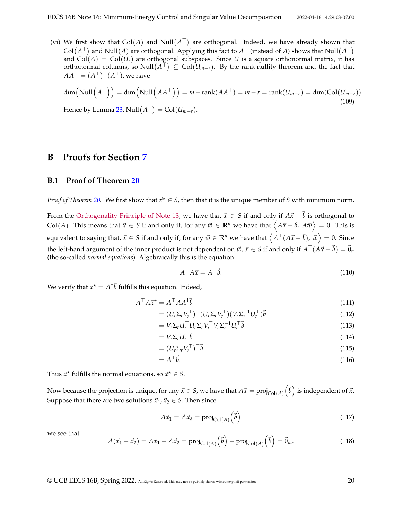(vi) We first show that  $Col(A)$  and  $Null(A^{\top})$  are orthogonal. Indeed, we have already shown that  $Col(A^{\top})$  and  $Null(A)$  are orthogonal. Applying this fact to  $A^{\top}$  (instead of *A*) shows that  $Null(A^{\top})$ and  $Col(A) = Col(U<sub>r</sub>)$  are orthogonal subspaces. Since *U* is a square orthonormal matrix, it has orthonormal columns, so  $\text{Null}(A^\top) \subseteq \text{Col}(\mathcal{U}_{m-r}).$  By the rank-nullity theorem and the fact that  $AA^\top = (A^\top)^\top (A^\top)$ , we have

$$
\dim\left(\text{Null}\left(A^{\top}\right)\right) = \dim\left(\text{Null}\left(AA^{\top}\right)\right) = m - \text{rank}(AA^{\top}) = m - r = \text{rank}(U_{m-r}) = \dim(\text{Col}(U_{m-r})).
$$
\nHence by Lomme 22. N-11 (A<sup>T</sup>) = Col(U, 1)

Hence by Lemma [23,](#page-16-0) Null $(A^{\top}) = \text{Col}(U_{m-r}).$ 

 $\hfill \square$ 

### **B Proofs for Section [7](#page-8-0)**

### <span id="page-19-0"></span>**B.1 Proof of Theorem [20](#page-9-2)**

*Proof of Theorem [20.](#page-9-2)* We first show that  $\vec{x}^* \in S$ , then that it is the unique member of *S* with minimum norm.

From the [Orthogonality Principle of Note 13,](https://www.eecs16b.org/notes/sp22/note13.pdf) we have that  $\vec{x} \in S$  if and only if  $A\vec{x} - \vec{b}$  is orthogonal to Col(*A*). This means that  $\vec{x} \in S$  if and only if, for any  $\vec{w} \in \mathbb{R}^n$  we have that  $\left\langle A\vec{x} - \vec{b}, A\vec{w} \right\rangle = 0$ . This is equivalent to saying that,  $\vec{x} \in S$  if and only if, for any  $\vec{w} \in \mathbb{R}^n$  we have that  $\left\langle A^\top(A\vec{x} - \vec{b}),\ \vec{w} \right\rangle = 0.$  Since the left-hand argument of the inner product is not dependent on  $\vec w$ ,  $\vec x\in S$  if and only if  $A^\top(A\vec x-\vec b)=\vec 0_n$ (the so-called *normal equations*). Algebraically this is the equation

$$
A^{\top} A \vec{x} = A^{\top} \vec{b}.
$$
 (110)

We verify that  $\vec{x}^{\star} = A^{\dagger} \vec{b}$  fulfills this equation. Indeed,

$$
A^{\top} A \vec{x}^{\star} = A^{\top} A A^{\dagger} \vec{b} \tag{111}
$$

$$
= (U_r \Sigma_r V_r^\top)^\top (U_r \Sigma_r V_r^\top) (V_r \Sigma_r^{-1} U_r^\top) \vec{b}
$$
\n(112)

$$
= V_r \Sigma_r U_r^\top U_r \Sigma_r V_r^\top V_r \Sigma_r^{-1} U_r^\top \vec{b}
$$
\n(113)

$$
= V_r \Sigma_r U_r^\top \vec{b} \tag{114}
$$

$$
= (U_r \Sigma_r V_r^\top)^\top \vec{b} \tag{115}
$$

$$
=A^{\top}\vec{b}.\tag{116}
$$

Thus  $\vec{x}^*$  fulfills the normal equations, so  $\vec{x}^* \in S$ .

Now because the projection is unique, for any  $\vec{x} \in S$ , we have that  $A\vec{x} = \text{proj}_{\text{Col}(A)} \left( \vec{b} \right)$  is independent of  $\vec{x}$ . Suppose that there are two solutions  $\vec{x}_1, \vec{x}_2 \in S$ . Then since

$$
A\vec{x}_1 = A\vec{x}_2 = \text{proj}_{\text{Col}(A)}\left(\vec{b}\right) \tag{117}
$$

we see that

$$
A(\vec{x}_1 - \vec{x}_2) = A\vec{x}_1 - A\vec{x}_2 = \text{proj}_{\text{Col}(A)}(\vec{b}) - \text{proj}_{\text{Col}(A)}(\vec{b}) = \vec{0}_m.
$$
 (118)